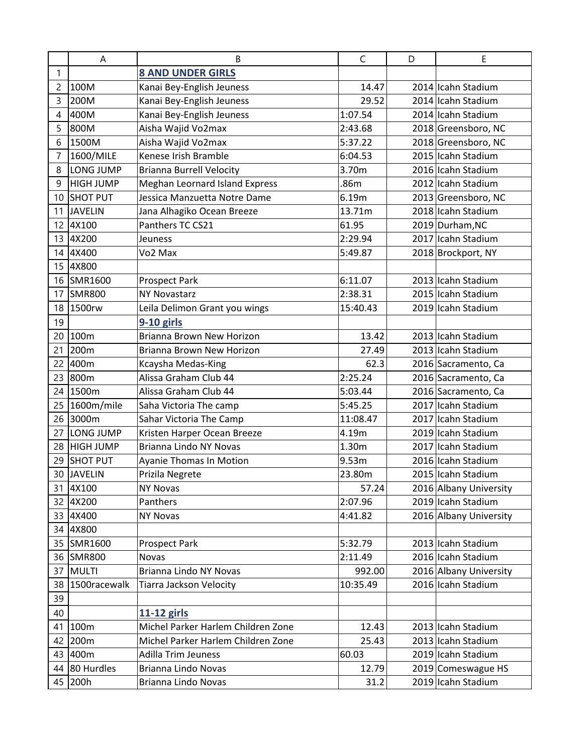|                 | A                | B                                     | $\mathsf C$ | D | E                      |
|-----------------|------------------|---------------------------------------|-------------|---|------------------------|
| $\mathbf{1}$    |                  | <b>8 AND UNDER GIRLS</b>              |             |   |                        |
| 2               | 100M             | Kanai Bey-English Jeuness             | 14.47       |   | 2014 Icahn Stadium     |
| 3               | 200M             | Kanai Bey-English Jeuness             | 29.52       |   | 2014 Icahn Stadium     |
| 4               | 400M             | Kanai Bey-English Jeuness             | 1:07.54     |   | 2014 Icahn Stadium     |
| 5               | 800M             | Aisha Wajid Vo2max                    | 2:43.68     |   | 2018 Greensboro, NC    |
| 6               | 1500M            | Aisha Wajid Vo2max                    | 5:37.22     |   | 2018 Greensboro, NC    |
| 7               | 1600/MILE        | Kenese Irish Bramble                  | 6:04.53     |   | 2015 Icahn Stadium     |
| 8               | LONG JUMP        | <b>Brianna Burrell Velocity</b>       | 3.70m       |   | 2016 Icahn Stadium     |
| 9               | <b>HIGH JUMP</b> | <b>Meghan Leornard Island Express</b> | .86m        |   | 2012 Icahn Stadium     |
| 10              | <b>SHOT PUT</b>  | Jessica Manzuetta Notre Dame          | 6.19m       |   | 2013 Greensboro, NC    |
| 11              | <b>JAVELIN</b>   | Jana Alhagiko Ocean Breeze            | 13.71m      |   | 2018 Icahn Stadium     |
| 12              | 4X100            | Panthers TC CS21                      | 61.95       |   | 2019 Durham, NC        |
| 13              | 4X200            | <b>Jeuness</b>                        | 2:29.94     |   | 2017 Icahn Stadium     |
| 14              | 4X400            | Vo2 Max                               | 5:49.87     |   | 2018 Brockport, NY     |
| 15              | 4X800            |                                       |             |   |                        |
| 16              | SMR1600          | <b>Prospect Park</b>                  | 6:11.07     |   | 2013 Icahn Stadium     |
| 17              | <b>SMR800</b>    | <b>NY Novastarz</b>                   | 2:38.31     |   | 2015 Icahn Stadium     |
| 18 <sup>1</sup> | 1500rw           | Leila Delimon Grant you wings         | 15:40.43    |   | 2019 Icahn Stadium     |
| 19              |                  | $9-10$ girls                          |             |   |                        |
| 20              | 100m             | Brianna Brown New Horizon             | 13.42       |   | 2013 Icahn Stadium     |
| 21              | 200m             | Brianna Brown New Horizon             | 27.49       |   | 2013 Icahn Stadium     |
| 22              | 400m             | Kcaysha Medas-King                    | 62.3        |   | 2016 Sacramento, Ca    |
| 23              | 800m             | Alissa Graham Club 44                 | 2:25.24     |   | 2016 Sacramento, Ca    |
| 24              | 1500m            | Alissa Graham Club 44                 | 5:03.44     |   | 2016 Sacramento, Ca    |
| 25              | 1600m/mile       | Saha Victoria The camp                | 5:45.25     |   | 2017 Icahn Stadium     |
| 26              | 3000m            | Sahar Victoria The Camp               | 11:08.47    |   | 2017 Icahn Stadium     |
| 27              | LONG JUMP        | Kristen Harper Ocean Breeze           | 4.19m       |   | 2019 Icahn Stadium     |
| 28              | <b>HIGH JUMP</b> | <b>Brianna Lindo NY Novas</b>         | 1.30m       |   | 2017 Icahn Stadium     |
| 29              | <b>SHOT PUT</b>  | Ayanie Thomas In Motion               | 9.53m       |   | 2016 Icahn Stadium     |
|                 | 30 JAVELIN       | Prizila Negrete                       | 23.80m      |   | 2015 Icahn Stadium     |
| 31              | 4X100            | <b>NY Novas</b>                       | 57.24       |   | 2016 Albany University |
| 32              | 4X200            | Panthers                              | 2:07.96     |   | 2019 Icahn Stadium     |
| 33              | 4X400            | <b>NY Novas</b>                       | 4:41.82     |   | 2016 Albany University |
| 34              | 4X800            |                                       |             |   |                        |
| 35              | SMR1600          | <b>Prospect Park</b>                  | 5:32.79     |   | 2013 Icahn Stadium     |
|                 | 36 SMR800        | Novas                                 | 2:11.49     |   | 2016 Icahn Stadium     |
| 37              | <b>MULTI</b>     | Brianna Lindo NY Novas                | 992.00      |   | 2016 Albany University |
| 38              | 1500racewalk     | Tiarra Jackson Velocity               | 10:35.49    |   | 2016 Icahn Stadium     |
| 39              |                  |                                       |             |   |                        |
| 40              |                  | 11-12 girls                           |             |   |                        |
| 41              | 100m             | Michel Parker Harlem Children Zone    | 12.43       |   | 2013 Icahn Stadium     |
| 42              | 200m             | Michel Parker Harlem Children Zone    | 25.43       |   | 2013 Icahn Stadium     |
| 43              | 400m             | <b>Adilla Trim Jeuness</b>            | 60.03       |   | 2019 Icahn Stadium     |
| 44              | 80 Hurdles       | Brianna Lindo Novas                   | 12.79       |   | 2019 Comeswague HS     |
|                 | 45 200h          | Brianna Lindo Novas                   | 31.2        |   | 2019 Icahn Stadium     |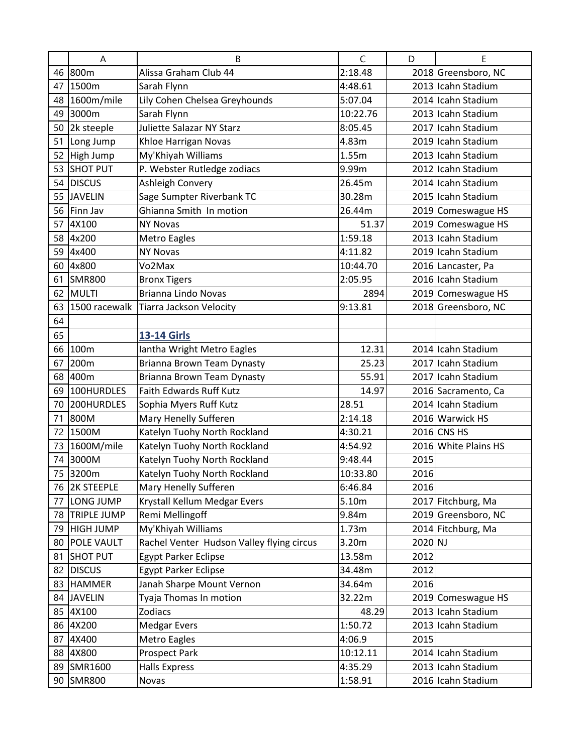|    | A                 | B                                         | $\mathsf{C}$ | D       | E                    |
|----|-------------------|-------------------------------------------|--------------|---------|----------------------|
|    | 46 800m           | Alissa Graham Club 44                     | 2:18.48      |         | 2018 Greensboro, NC  |
| 47 | 1500m             | Sarah Flynn                               | 4:48.61      |         | 2013 Icahn Stadium   |
|    | 48 1600m/mile     | Lily Cohen Chelsea Greyhounds             | 5:07.04      |         | 2014 Icahn Stadium   |
| 49 | 3000m             | Sarah Flynn                               | 10:22.76     |         | 2013 Icahn Stadium   |
| 50 | 2k steeple        | Juliette Salazar NY Starz                 | 8:05.45      |         | 2017 Icahn Stadium   |
| 51 | Long Jump         | Khloe Harrigan Novas                      | 4.83m        |         | 2019 Icahn Stadium   |
| 52 | High Jump         | My'Khiyah Williams                        | 1.55m        |         | 2013 Icahn Stadium   |
| 53 | <b>SHOT PUT</b>   | P. Webster Rutledge zodiacs               | 9.99m        |         | 2012 Icahn Stadium   |
| 54 | <b>DISCUS</b>     | Ashleigh Convery                          | 26.45m       |         | 2014 Icahn Stadium   |
| 55 | <b>JAVELIN</b>    | Sage Sumpter Riverbank TC                 | 30.28m       |         | 2015 Icahn Stadium   |
| 56 | Finn Jav          | Ghianna Smith In motion                   | 26.44m       |         | 2019 Comeswague HS   |
| 57 | 4X100             | <b>NY Novas</b>                           | 51.37        |         | 2019 Comeswague HS   |
| 58 | 4x200             | Metro Eagles                              | 1:59.18      |         | 2013 Icahn Stadium   |
| 59 | 4x400             | <b>NY Novas</b>                           | 4:11.82      |         | 2019 Icahn Stadium   |
| 60 | 4x800             | Vo2Max                                    | 10:44.70     |         | 2016 Lancaster, Pa   |
| 61 | <b>SMR800</b>     | <b>Bronx Tigers</b>                       | 2:05.95      |         | 2016 Icahn Stadium   |
| 62 | MULTI             | Brianna Lindo Novas                       | 2894         |         | 2019 Comeswague HS   |
| 63 | 1500 racewalk     | Tiarra Jackson Velocity                   | 9:13.81      |         | 2018 Greensboro, NC  |
| 64 |                   |                                           |              |         |                      |
| 65 |                   | <b>13-14 Girls</b>                        |              |         |                      |
| 66 | 100m              | Iantha Wright Metro Eagles                | 12.31        |         | 2014 Icahn Stadium   |
| 67 | 200m              | Brianna Brown Team Dynasty                | 25.23        |         | 2017 Icahn Stadium   |
| 68 | 400m              | Brianna Brown Team Dynasty                | 55.91        |         | 2017 Icahn Stadium   |
| 69 | 100HURDLES        | Faith Edwards Ruff Kutz                   | 14.97        |         | 2016 Sacramento, Ca  |
| 70 | 200HURDLES        | Sophia Myers Ruff Kutz                    | 28.51        |         | 2014 Icahn Stadium   |
| 71 | 800M              | Mary Henelly Sufferen                     | 2:14.18      |         | 2016 Warwick HS      |
| 72 | 1500M             | Katelyn Tuohy North Rockland              | 4:30.21      |         | $2016$ CNS HS        |
| 73 | 1600M/mile        | Katelyn Tuohy North Rockland              | 4:54.92      |         | 2016 White Plains HS |
| 74 | 3000M             | Katelyn Tuohy North Rockland              | 9:48.44      | 2015    |                      |
| 75 | 3200m             | Katelyn Tuohy North Rockland              | 10:33.80     | 2016    |                      |
| 76 | <b>2K STEEPLE</b> | Mary Henelly Sufferen                     | 6:46.84      | 2016    |                      |
| 77 | LONG JUMP         | Krystall Kellum Medgar Evers              | 5.10m        |         | 2017 Fitchburg, Ma   |
| 78 | TRIPLE JUMP       | Remi Mellingoff                           | 9.84m        |         | 2019 Greensboro, NC  |
| 79 | <b>HIGH JUMP</b>  | My'Khiyah Williams                        | 1.73m        |         | 2014 Fitchburg, Ma   |
| 80 | POLE VAULT        | Rachel Venter Hudson Valley flying circus | 3.20m        | 2020 NJ |                      |
| 81 | <b>SHOT PUT</b>   | <b>Egypt Parker Eclipse</b>               | 13.58m       | 2012    |                      |
|    | 82 DISCUS         | <b>Egypt Parker Eclipse</b>               | 34.48m       | 2012    |                      |
| 83 | <b>HAMMER</b>     | Janah Sharpe Mount Vernon                 | 34.64m       | 2016    |                      |
| 84 | <b>JAVELIN</b>    | Tyaja Thomas In motion                    | 32.22m       |         | 2019 Comeswague HS   |
|    | 85 4X100          | Zodiacs                                   | 48.29        |         | 2013 Icahn Stadium   |
| 86 | 4X200             | <b>Medgar Evers</b>                       | 1:50.72      |         | 2013 Icahn Stadium   |
| 87 | 4X400             | Metro Eagles                              | 4:06.9       | 2015    |                      |
| 88 | 4X800             | <b>Prospect Park</b>                      | 10:12.11     |         | 2014 Icahn Stadium   |
|    | 89 SMR1600        | <b>Halls Express</b>                      | 4:35.29      |         | 2013 Icahn Stadium   |
|    | 90 SMR800         | Novas                                     | 1:58.91      |         | 2016 Icahn Stadium   |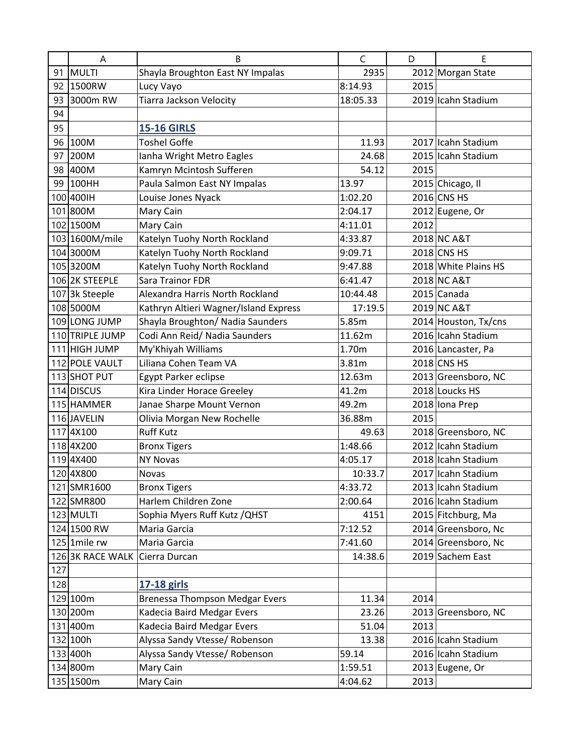|     | A                | B                                     | C        | D    | Е                    |
|-----|------------------|---------------------------------------|----------|------|----------------------|
|     | 91 MULTI         | Shayla Broughton East NY Impalas      | 2935     |      | 2012 Morgan State    |
| 92  | 1500RW           | Lucy Vayo                             | 8:14.93  | 2015 |                      |
| 93  | 3000m RW         | <b>Tiarra Jackson Velocity</b>        | 18:05.33 |      | 2019 Icahn Stadium   |
| 94  |                  |                                       |          |      |                      |
| 95  |                  | <b>15-16 GIRLS</b>                    |          |      |                      |
|     | 96 100M          | <b>Toshel Goffe</b>                   | 11.93    |      | 2017 Icahn Stadium   |
| 97  | 200M             | Ianha Wright Metro Eagles             | 24.68    |      | 2015 Icahn Stadium   |
| 98  | 400M             | Kamryn Mcintosh Sufferen              | 54.12    | 2015 |                      |
|     | 99 100HH         | Paula Salmon East NY Impalas          | 13.97    |      | 2015 Chicago, Il     |
|     | 100 400 IH       | Louise Jones Nyack                    | 1:02.20  |      | 2016 CNS HS          |
|     | 101 800M         | Mary Cain                             | 2:04.17  |      | 2012 Eugene, Or      |
|     | 102 1500M        | Mary Cain                             | 4:11.01  | 2012 |                      |
|     | 103 1600M/mile   | Katelyn Tuohy North Rockland          | 4:33.87  |      | 2018 NC A&T          |
|     | 104 3000M        | Katelyn Tuohy North Rockland          | 9:09.71  |      | 2018 CNS HS          |
|     | 1053200M         | Katelyn Tuohy North Rockland          | 9:47.88  |      | 2018 White Plains HS |
|     | 106 2K STEEPLE   | Sara Trainor FDR                      | 6:41.47  |      | 2018 NC A&T          |
|     | 107 3k Steeple   | Alexandra Harris North Rockland       | 10:44.48 |      | 2015 Canada          |
|     | 108 5000M        | Kathryn Altieri Wagner/Island Express | 17:19.5  |      | 2019 NC A&T          |
|     | 109 LONG JUMP    | Shayla Broughton/ Nadia Saunders      | 5.85m    |      | 2014 Houston, Tx/cns |
|     | 110 TRIPLE JUMP  | Codi Ann Reid/ Nadia Saunders         | 11.62m   |      | 2016 Icahn Stadium   |
|     | 111 HIGH JUMP    | My'Khiyah Williams                    | 1.70m    |      | 2016 Lancaster, Pa   |
|     | 112 POLE VAULT   | Liliana Cohen Team VA                 | 3.81m    |      | 2018 CNS HS          |
|     | 113 SHOT PUT     | Egypt Parker eclipse                  | 12.63m   |      | 2013 Greensboro, NC  |
|     | 114 DISCUS       | Kira Linder Horace Greeley            | 41.2m    |      | 2018 Loucks HS       |
|     | 115 HAMMER       | Janae Sharpe Mount Vernon             | 49.2m    |      | 2018 Iona Prep       |
|     | 116 JAVELIN      | Olivia Morgan New Rochelle            | 36.88m   | 2015 |                      |
|     | 1174X100         | <b>Ruff Kutz</b>                      | 49.63    |      | 2018 Greensboro, NC  |
|     | 1184X200         | <b>Bronx Tigers</b>                   | 1:48.66  |      | 2012 Icahn Stadium   |
|     | 1194X400         | <b>NY Novas</b>                       | 4:05.17  |      | 2018 Icahn Stadium   |
|     | 120 4X800        | <b>Novas</b>                          | 10:33.7  |      | 2017 Icahn Stadium   |
|     | 121 SMR1600      | <b>Bronx Tigers</b>                   | 4:33.72  |      | 2013 Icahn Stadium   |
|     | 122 SMR800       | Harlem Children Zone                  | 2:00.64  |      | 2016 Icahn Stadium   |
|     | 123 MULTI        | Sophia Myers Ruff Kutz / QHST         | 4151     |      | 2015 Fitchburg, Ma   |
|     | 124 1500 RW      | Maria Garcia                          | 7:12.52  |      | 2014 Greensboro, Nc  |
|     | $125$ 1mile rw   | Maria Garcia                          | 7:41.60  |      | 2014 Greensboro, Nc  |
|     | 126 3K RACE WALK | Cierra Durcan                         | 14:38.6  |      | 2019 Sachem East     |
| 127 |                  |                                       |          |      |                      |
| 128 |                  | 17-18 girls                           |          |      |                      |
|     | 129 100m         | <b>Brenessa Thompson Medgar Evers</b> | 11.34    | 2014 |                      |
|     | 130 200m         | Kadecia Baird Medgar Evers            | 23.26    |      | 2013 Greensboro, NC  |
|     | 131400m          | Kadecia Baird Medgar Evers            | 51.04    | 2013 |                      |
|     | 132 100h         | Alyssa Sandy Vtesse/ Robenson         | 13.38    |      | 2016 Icahn Stadium   |
|     | 133 400h         | Alyssa Sandy Vtesse/ Robenson         | 59.14    |      | 2016 Icahn Stadium   |
|     | 134 800m         | Mary Cain                             | 1:59.51  |      | 2013 Eugene, Or      |
|     | 135 1500m        | Mary Cain                             | 4:04.62  | 2013 |                      |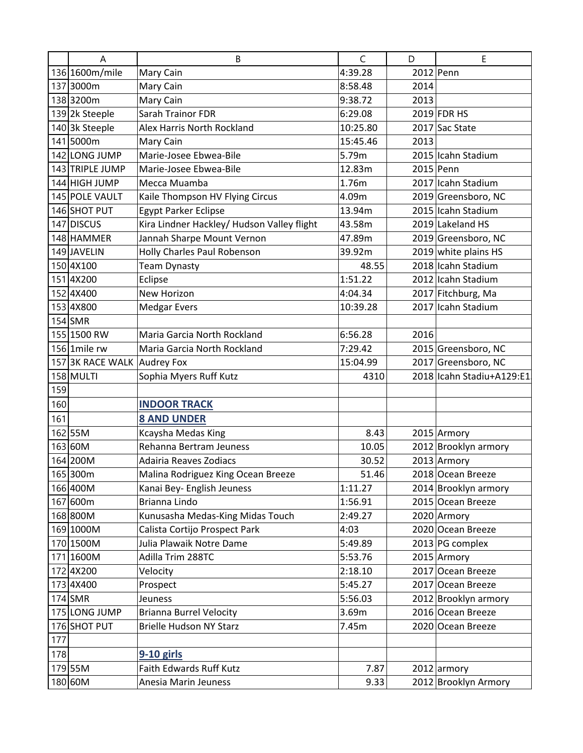| A                           | B                                          | C        | D    | E                         |
|-----------------------------|--------------------------------------------|----------|------|---------------------------|
| 136 1600m/mile              | Mary Cain                                  | 4:39.28  |      | $2012$ Penn               |
| 137 3000m                   | Mary Cain                                  | 8:58.48  | 2014 |                           |
| 1383200m                    | Mary Cain                                  | 9:38.72  | 2013 |                           |
| 139 2k Steeple              | Sarah Trainor FDR                          | 6:29.08  |      | 2019 FDR HS               |
| 140 3k Steeple              | Alex Harris North Rockland                 | 10:25.80 |      | 2017 Sac State            |
| 141 5000m                   | Mary Cain                                  | 15:45.46 | 2013 |                           |
| 142 LONG JUMP               | Marie-Josee Ebwea-Bile                     | 5.79m    |      | 2015 Icahn Stadium        |
| 143 TRIPLE JUMP             | Marie-Josee Ebwea-Bile                     | 12.83m   |      | 2015 Penn                 |
| 144 HIGH JUMP               | Mecca Muamba                               | 1.76m    |      | 2017 Icahn Stadium        |
| 145 POLE VAULT              | Kaile Thompson HV Flying Circus            | 4.09m    |      | 2019 Greensboro, NC       |
| 146 SHOT PUT                | <b>Egypt Parker Eclipse</b>                | 13.94m   |      | 2015 Icahn Stadium        |
| 147 DISCUS                  | Kira Lindner Hackley/ Hudson Valley flight | 43.58m   |      | 2019 Lakeland HS          |
| 148 HAMMER                  | Jannah Sharpe Mount Vernon                 | 47.89m   |      | 2019 Greensboro, NC       |
| 149 JAVELIN                 | Holly Charles Paul Robenson                | 39.92m   |      | 2019 white plains HS      |
| 150 4X100                   | <b>Team Dynasty</b>                        | 48.55    |      | 2018 Icahn Stadium        |
| 1514X200                    | Eclipse                                    | 1:51.22  |      | 2012 Icahn Stadium        |
| 152 4X400                   | New Horizon                                | 4:04.34  |      | 2017 Fitchburg, Ma        |
| 153 4X800                   | <b>Medgar Evers</b>                        | 10:39.28 |      | 2017 Icahn Stadium        |
| $154$ SMR                   |                                            |          |      |                           |
| 155 1500 RW                 | Maria Garcia North Rockland                | 6:56.28  | 2016 |                           |
| 156 1mile rw                | Maria Garcia North Rockland                | 7:29.42  |      | 2015 Greensboro, NC       |
| 157 3K RACE WALK Audrey Fox |                                            | 15:04.99 |      | 2017 Greensboro, NC       |
| 158 MULTI                   | Sophia Myers Ruff Kutz                     | 4310     |      | 2018 Icahn Stadiu+A129:E1 |
| 159                         |                                            |          |      |                           |
| 160                         | <b>INDOOR TRACK</b>                        |          |      |                           |
| 161                         | <b>8 AND UNDER</b>                         |          |      |                           |
| 162 55M                     | Kcaysha Medas King                         | 8.43     |      | 2015 Armory               |
| 163 60M                     | Rehanna Bertram Jeuness                    | 10.05    |      | 2012 Brooklyn armory      |
| 164 200M                    | Adairia Reaves Zodiacs                     | 30.52    |      | 2013 Armory               |
| 165 300m                    | Malina Rodriguez King Ocean Breeze         | 51.46    |      | 2018 Ocean Breeze         |
| 166 400M                    | Kanai Bey- English Jeuness                 | 1:11.27  |      | 2014 Brooklyn armory      |
| 167 600m                    | Brianna Lindo                              | 1:56.91  |      | 2015 Ocean Breeze         |
| 168 800M                    | Kunusasha Medas-King Midas Touch           | 2:49.27  |      | 2020 Armory               |
| 169 1000M                   | Calista Cortijo Prospect Park              | 4:03     |      | 2020 Ocean Breeze         |
| 170 1500M                   | Julia Plawaik Notre Dame                   | 5:49.89  |      | 2013 PG complex           |
| 171 1600M                   | Adilla Trim 288TC                          | 5:53.76  |      | 2015 Armory               |
| 172 4X200                   | Velocity                                   | 2:18.10  |      | 2017 Ocean Breeze         |
| 173 4X400                   | Prospect                                   | 5:45.27  |      | 2017 Ocean Breeze         |
| 174 SMR                     | Jeuness                                    | 5:56.03  |      | 2012 Brooklyn armory      |
| 175 LONG JUMP               | <b>Brianna Burrel Velocity</b>             | 3.69m    |      | 2016 Ocean Breeze         |
| 176 SHOT PUT                | <b>Brielle Hudson NY Starz</b>             | 7.45m    |      | 2020 Ocean Breeze         |
| 177                         |                                            |          |      |                           |
| 178                         | $9-10$ girls                               |          |      |                           |
| 179 55M                     | Faith Edwards Ruff Kutz                    | 7.87     |      | $2012$ armory             |
| 180 60M                     | Anesia Marin Jeuness                       | 9.33     |      | 2012 Brooklyn Armory      |
|                             |                                            |          |      |                           |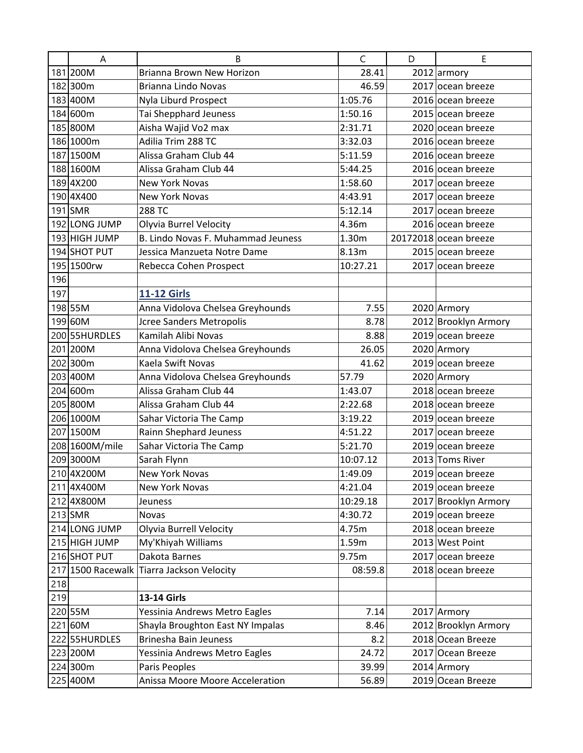|     | $\mathsf A$       | B                                  | $\mathsf{C}$ | D | E                     |
|-----|-------------------|------------------------------------|--------------|---|-----------------------|
|     | 181 200M          | Brianna Brown New Horizon          | 28.41        |   | $2012$ armory         |
|     | 182 300m          | <b>Brianna Lindo Novas</b>         | 46.59        |   | 2017 ocean breeze     |
|     | 183 400M          | Nyla Liburd Prospect               | 1:05.76      |   | 2016 ocean breeze     |
|     | 184 600m          | Tai Shepphard Jeuness              | 1:50.16      |   | 2015 ocean breeze     |
|     | 185 800M          | Aisha Wajid Vo2 max                | 2:31.71      |   | 2020 ocean breeze     |
|     | 186 1000m         | Adilia Trim 288 TC                 | 3:32.03      |   | 2016 ocean breeze     |
|     | 187 1500M         | Alissa Graham Club 44              | 5:11.59      |   | 2016 ocean breeze     |
|     | 188 1600M         | Alissa Graham Club 44              | 5:44.25      |   | 2016 ocean breeze     |
|     | 1894X200          | <b>New York Novas</b>              | 1:58.60      |   | 2017 ocean breeze     |
|     | 1904X400          | <b>New York Novas</b>              | 4:43.91      |   | 2017 ocean breeze     |
|     | 191 SMR           | 288 TC                             | 5:12.14      |   | 2017 ocean breeze     |
|     | 192 LONG JUMP     | Olyvia Burrel Velocity             | 4.36m        |   | 2016 ocean breeze     |
|     | 193 HIGH JUMP     | B. Lindo Novas F. Muhammad Jeuness | 1.30m        |   | 20172018 ocean breeze |
|     | 194 SHOT PUT      | Jessica Manzueta Notre Dame        | 8.13m        |   | 2015 ocean breeze     |
|     | 195 1500rw        | Rebecca Cohen Prospect             | 10:27.21     |   | 2017 ocean breeze     |
| 196 |                   |                                    |              |   |                       |
| 197 |                   | <b>11-12 Girls</b>                 |              |   |                       |
|     | 198 55M           | Anna Vidolova Chelsea Greyhounds   | 7.55         |   | 2020 Armory           |
|     | 199 60M           | <b>Jcree Sanders Metropolis</b>    | 8.78         |   | 2012 Brooklyn Armory  |
|     | 200 55HURDLES     | Kamilah Alibi Novas                | 8.88         |   | 2019 ocean breeze     |
|     | 201 200M          | Anna Vidolova Chelsea Greyhounds   | 26.05        |   | 2020 Armory           |
|     | 202 300m          | Kaela Swift Novas                  | 41.62        |   | 2019 ocean breeze     |
|     | 203 400M          | Anna Vidolova Chelsea Greyhounds   | 57.79        |   | 2020 Armory           |
|     | 204 600m          | Alissa Graham Club 44              | 1:43.07      |   | 2018 ocean breeze     |
|     | 205 800M          | Alissa Graham Club 44              | 2:22.68      |   | 2018 ocean breeze     |
|     | 206 1000M         | Sahar Victoria The Camp            | 3:19.22      |   | 2019 ocean breeze     |
|     | 207 1500M         | Rainn Shephard Jeuness             | 4:51.22      |   | 2017 ocean breeze     |
|     | 208 1600M/mile    | Sahar Victoria The Camp            | 5:21.70      |   | 2019 ocean breeze     |
|     | 2093000M          | Sarah Flynn                        | 10:07.12     |   | 2013 Toms River       |
|     | 210 4X200M        | <b>New York Novas</b>              | 1:49.09      |   | 2019 ocean breeze     |
|     | 211 4X400M        | <b>New York Novas</b>              | 4:21.04      |   | 2019 ocean breeze     |
|     | 212 4X800M        | Jeuness                            | 10:29.18     |   | 2017 Brooklyn Armory  |
|     | $213$ SMR         | <b>Novas</b>                       | 4:30.72      |   | 2019 ocean breeze     |
|     | 214 LONG JUMP     | Olyvia Burrell Velocity            | 4.75m        |   | 2018 ocean breeze     |
|     | 215 HIGH JUMP     | My'Khiyah Williams                 | 1.59m        |   | 2013 West Point       |
|     | 216 SHOT PUT      | Dakota Barnes                      | 9.75m        |   | 2017 ocean breeze     |
|     | 217 1500 Racewalk | Tiarra Jackson Velocity            | 08:59.8      |   | 2018 ocean breeze     |
| 218 |                   |                                    |              |   |                       |
| 219 |                   | 13-14 Girls                        |              |   |                       |
|     | 220 55M           | Yessinia Andrews Metro Eagles      | 7.14         |   | 2017 Armory           |
|     | 221 60M           | Shayla Broughton East NY Impalas   | 8.46         |   | 2012 Brooklyn Armory  |
|     | 222 55HURDLES     | <b>Brinesha Bain Jeuness</b>       | 8.2          |   | 2018 Ocean Breeze     |
|     | 223 200M          | Yessinia Andrews Metro Eagles      | 24.72        |   | 2017 Ocean Breeze     |
|     | 224 300m          | Paris Peoples                      | 39.99        |   | 2014 Armory           |
|     | 225 400M          | Anissa Moore Moore Acceleration    | 56.89        |   | 2019 Ocean Breeze     |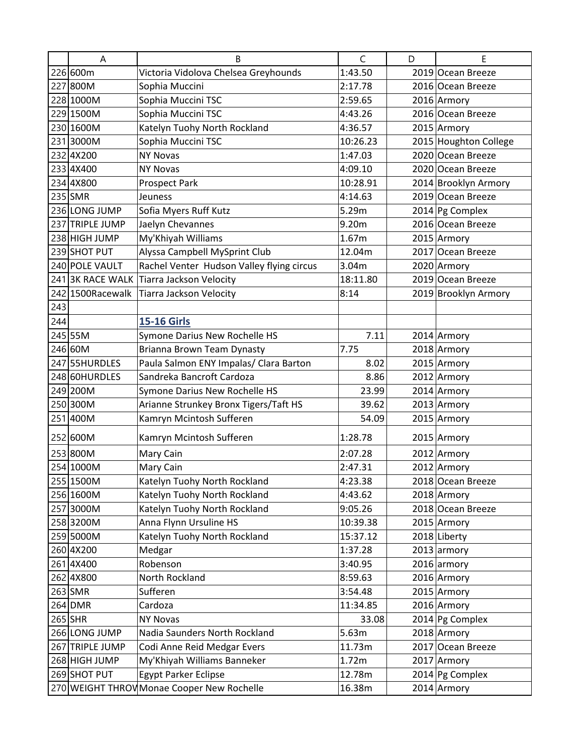| 226 600m<br>Victoria Vidolova Chelsea Greyhounds<br>1:43.50<br>2019 Ocean Breeze<br>227 800M<br>Sophia Muccini<br>2016 Ocean Breeze<br>2:17.78<br>228 1000M<br>Sophia Muccini TSC<br>2016 Armory<br>2:59.65<br>229 1500M<br>Sophia Muccini TSC<br>2016 Ocean Breeze<br>4:43.26<br>230 1600M<br>Katelyn Tuohy North Rockland<br>2015 Armory<br>4:36.57<br>Sophia Muccini TSC<br>2015 Houghton College<br>2313000M<br>10:26.23<br>232 4X200<br>2020 Ocean Breeze<br><b>NY Novas</b><br>1:47.03<br>233 4X400<br>2020 Ocean Breeze<br>4:09.10<br><b>NY Novas</b><br>234 4X800<br>2014 Brooklyn Armory<br><b>Prospect Park</b><br>10:28.91<br>235 SMR<br>2019 Ocean Breeze<br>Jeuness<br>4:14.63<br>236 LONG JUMP<br>Sofia Myers Ruff Kutz<br>5.29m<br>2014 Pg Complex<br>237 TRIPLE JUMP<br>Jaelyn Chevannes<br>9.20m<br>2016 Ocean Breeze<br>My'Khiyah Williams<br>238 HIGH JUMP<br>2015 Armory<br>1.67m<br>239 SHOT PUT<br>Alyssa Campbell MySprint Club<br>2017 Ocean Breeze<br>12.04m<br>Rachel Venter Hudson Valley flying circus<br>240 POLE VAULT<br>2020 Armory<br>3.04m<br>241 3K RACE WALK<br><b>Tiarra Jackson Velocity</b><br>2019 Ocean Breeze<br>18:11.80<br>242 1500 Racewalk<br>8:14<br>2019 Brooklyn Armory<br>Tiarra Jackson Velocity<br>243<br>244<br><b>15-16 Girls</b><br>245 55M<br>7.11<br>Symone Darius New Rochelle HS<br>2014 Armory<br>246 60M<br>Brianna Brown Team Dynasty<br>2018 Armory<br>7.75<br>247 55HURDLES<br>Paula Salmon ENY Impalas/ Clara Barton<br>2015 Armory<br>8.02<br>248 60HURDLES<br>2012 Armory<br>Sandreka Bancroft Cardoza<br>8.86<br>249 200M<br>2014 Armory<br>Symone Darius New Rochelle HS<br>23.99<br>250 300M<br>Arianne Strunkey Bronx Tigers/Taft HS<br>2013 Armory<br>39.62<br>Kamryn Mcintosh Sufferen<br>251 400M<br>2015 Armory<br>54.09<br>252 600M<br>Kamryn Mcintosh Sufferen<br>1:28.78<br>2015 Armory<br>253 800M<br>2012 Armory<br>Mary Cain<br>2:07.28<br>2012 Armory<br>Mary Cain<br>254 1000M<br>2:47.31<br>255 1500M<br>Katelyn Tuohy North Rockland<br>2018 Ocean Breeze<br>4:23.38<br>Katelyn Tuohy North Rockland<br>256 1600M<br>4:43.62<br>2018 Armory<br>257 3000M<br>Katelyn Tuohy North Rockland<br>9:05.26<br>2018 Ocean Breeze<br>Anna Flynn Ursuline HS<br>258 3200M<br>2015 Armory<br>10:39.38<br>Katelyn Tuohy North Rockland<br>259 5000M<br>15:37.12<br>2018 Liberty<br>260 4X200<br>1:37.28<br>2013 armory<br>Medgar<br>Robenson<br>$2016$ armory<br>261 4X400<br>3:40.95<br>262 4X800<br>North Rockland<br>8:59.63<br>2016 Armory<br>263 SMR<br>Sufferen<br>2015 Armory<br>3:54.48<br>264 DMR<br>Cardoza<br>2016 Armory<br>11:34.85<br>265 SHR<br>2014 Pg Complex<br><b>NY Novas</b><br>33.08<br>266 LONG JUMP<br>2018 Armory<br>Nadia Saunders North Rockland<br>5.63m<br>267 TRIPLE JUMP<br>Codi Anne Reid Medgar Evers<br>2017 Ocean Breeze<br>11.73m<br>My'Khiyah Williams Banneker<br>268 HIGH JUMP<br>1.72m<br>2017 Armory<br>269 SHOT PUT<br>2014 Pg Complex<br><b>Egypt Parker Eclipse</b><br>12.78m<br>2014 Armory<br>270 WEIGHT THROW Monae Cooper New Rochelle<br>16.38m | A | B | $\mathsf{C}$ | D | E |
|---------------------------------------------------------------------------------------------------------------------------------------------------------------------------------------------------------------------------------------------------------------------------------------------------------------------------------------------------------------------------------------------------------------------------------------------------------------------------------------------------------------------------------------------------------------------------------------------------------------------------------------------------------------------------------------------------------------------------------------------------------------------------------------------------------------------------------------------------------------------------------------------------------------------------------------------------------------------------------------------------------------------------------------------------------------------------------------------------------------------------------------------------------------------------------------------------------------------------------------------------------------------------------------------------------------------------------------------------------------------------------------------------------------------------------------------------------------------------------------------------------------------------------------------------------------------------------------------------------------------------------------------------------------------------------------------------------------------------------------------------------------------------------------------------------------------------------------------------------------------------------------------------------------------------------------------------------------------------------------------------------------------------------------------------------------------------------------------------------------------------------------------------------------------------------------------------------------------------------------------------------------------------------------------------------------------------------------------------------------------------------------------------------------------------------------------------------------------------------------------------------------------------------------------------------------------------------------------------------------------------------------------------------------------------------------------------------------------------------------------------------------------------------------------------------------------------------------------------------------------------------------------------------------------------------------------------------------------------------------------------------------------------------------------------------------------------|---|---|--------------|---|---|
|                                                                                                                                                                                                                                                                                                                                                                                                                                                                                                                                                                                                                                                                                                                                                                                                                                                                                                                                                                                                                                                                                                                                                                                                                                                                                                                                                                                                                                                                                                                                                                                                                                                                                                                                                                                                                                                                                                                                                                                                                                                                                                                                                                                                                                                                                                                                                                                                                                                                                                                                                                                                                                                                                                                                                                                                                                                                                                                                                                                                                                                                           |   |   |              |   |   |
|                                                                                                                                                                                                                                                                                                                                                                                                                                                                                                                                                                                                                                                                                                                                                                                                                                                                                                                                                                                                                                                                                                                                                                                                                                                                                                                                                                                                                                                                                                                                                                                                                                                                                                                                                                                                                                                                                                                                                                                                                                                                                                                                                                                                                                                                                                                                                                                                                                                                                                                                                                                                                                                                                                                                                                                                                                                                                                                                                                                                                                                                           |   |   |              |   |   |
|                                                                                                                                                                                                                                                                                                                                                                                                                                                                                                                                                                                                                                                                                                                                                                                                                                                                                                                                                                                                                                                                                                                                                                                                                                                                                                                                                                                                                                                                                                                                                                                                                                                                                                                                                                                                                                                                                                                                                                                                                                                                                                                                                                                                                                                                                                                                                                                                                                                                                                                                                                                                                                                                                                                                                                                                                                                                                                                                                                                                                                                                           |   |   |              |   |   |
|                                                                                                                                                                                                                                                                                                                                                                                                                                                                                                                                                                                                                                                                                                                                                                                                                                                                                                                                                                                                                                                                                                                                                                                                                                                                                                                                                                                                                                                                                                                                                                                                                                                                                                                                                                                                                                                                                                                                                                                                                                                                                                                                                                                                                                                                                                                                                                                                                                                                                                                                                                                                                                                                                                                                                                                                                                                                                                                                                                                                                                                                           |   |   |              |   |   |
|                                                                                                                                                                                                                                                                                                                                                                                                                                                                                                                                                                                                                                                                                                                                                                                                                                                                                                                                                                                                                                                                                                                                                                                                                                                                                                                                                                                                                                                                                                                                                                                                                                                                                                                                                                                                                                                                                                                                                                                                                                                                                                                                                                                                                                                                                                                                                                                                                                                                                                                                                                                                                                                                                                                                                                                                                                                                                                                                                                                                                                                                           |   |   |              |   |   |
|                                                                                                                                                                                                                                                                                                                                                                                                                                                                                                                                                                                                                                                                                                                                                                                                                                                                                                                                                                                                                                                                                                                                                                                                                                                                                                                                                                                                                                                                                                                                                                                                                                                                                                                                                                                                                                                                                                                                                                                                                                                                                                                                                                                                                                                                                                                                                                                                                                                                                                                                                                                                                                                                                                                                                                                                                                                                                                                                                                                                                                                                           |   |   |              |   |   |
|                                                                                                                                                                                                                                                                                                                                                                                                                                                                                                                                                                                                                                                                                                                                                                                                                                                                                                                                                                                                                                                                                                                                                                                                                                                                                                                                                                                                                                                                                                                                                                                                                                                                                                                                                                                                                                                                                                                                                                                                                                                                                                                                                                                                                                                                                                                                                                                                                                                                                                                                                                                                                                                                                                                                                                                                                                                                                                                                                                                                                                                                           |   |   |              |   |   |
|                                                                                                                                                                                                                                                                                                                                                                                                                                                                                                                                                                                                                                                                                                                                                                                                                                                                                                                                                                                                                                                                                                                                                                                                                                                                                                                                                                                                                                                                                                                                                                                                                                                                                                                                                                                                                                                                                                                                                                                                                                                                                                                                                                                                                                                                                                                                                                                                                                                                                                                                                                                                                                                                                                                                                                                                                                                                                                                                                                                                                                                                           |   |   |              |   |   |
|                                                                                                                                                                                                                                                                                                                                                                                                                                                                                                                                                                                                                                                                                                                                                                                                                                                                                                                                                                                                                                                                                                                                                                                                                                                                                                                                                                                                                                                                                                                                                                                                                                                                                                                                                                                                                                                                                                                                                                                                                                                                                                                                                                                                                                                                                                                                                                                                                                                                                                                                                                                                                                                                                                                                                                                                                                                                                                                                                                                                                                                                           |   |   |              |   |   |
|                                                                                                                                                                                                                                                                                                                                                                                                                                                                                                                                                                                                                                                                                                                                                                                                                                                                                                                                                                                                                                                                                                                                                                                                                                                                                                                                                                                                                                                                                                                                                                                                                                                                                                                                                                                                                                                                                                                                                                                                                                                                                                                                                                                                                                                                                                                                                                                                                                                                                                                                                                                                                                                                                                                                                                                                                                                                                                                                                                                                                                                                           |   |   |              |   |   |
|                                                                                                                                                                                                                                                                                                                                                                                                                                                                                                                                                                                                                                                                                                                                                                                                                                                                                                                                                                                                                                                                                                                                                                                                                                                                                                                                                                                                                                                                                                                                                                                                                                                                                                                                                                                                                                                                                                                                                                                                                                                                                                                                                                                                                                                                                                                                                                                                                                                                                                                                                                                                                                                                                                                                                                                                                                                                                                                                                                                                                                                                           |   |   |              |   |   |
|                                                                                                                                                                                                                                                                                                                                                                                                                                                                                                                                                                                                                                                                                                                                                                                                                                                                                                                                                                                                                                                                                                                                                                                                                                                                                                                                                                                                                                                                                                                                                                                                                                                                                                                                                                                                                                                                                                                                                                                                                                                                                                                                                                                                                                                                                                                                                                                                                                                                                                                                                                                                                                                                                                                                                                                                                                                                                                                                                                                                                                                                           |   |   |              |   |   |
|                                                                                                                                                                                                                                                                                                                                                                                                                                                                                                                                                                                                                                                                                                                                                                                                                                                                                                                                                                                                                                                                                                                                                                                                                                                                                                                                                                                                                                                                                                                                                                                                                                                                                                                                                                                                                                                                                                                                                                                                                                                                                                                                                                                                                                                                                                                                                                                                                                                                                                                                                                                                                                                                                                                                                                                                                                                                                                                                                                                                                                                                           |   |   |              |   |   |
|                                                                                                                                                                                                                                                                                                                                                                                                                                                                                                                                                                                                                                                                                                                                                                                                                                                                                                                                                                                                                                                                                                                                                                                                                                                                                                                                                                                                                                                                                                                                                                                                                                                                                                                                                                                                                                                                                                                                                                                                                                                                                                                                                                                                                                                                                                                                                                                                                                                                                                                                                                                                                                                                                                                                                                                                                                                                                                                                                                                                                                                                           |   |   |              |   |   |
|                                                                                                                                                                                                                                                                                                                                                                                                                                                                                                                                                                                                                                                                                                                                                                                                                                                                                                                                                                                                                                                                                                                                                                                                                                                                                                                                                                                                                                                                                                                                                                                                                                                                                                                                                                                                                                                                                                                                                                                                                                                                                                                                                                                                                                                                                                                                                                                                                                                                                                                                                                                                                                                                                                                                                                                                                                                                                                                                                                                                                                                                           |   |   |              |   |   |
|                                                                                                                                                                                                                                                                                                                                                                                                                                                                                                                                                                                                                                                                                                                                                                                                                                                                                                                                                                                                                                                                                                                                                                                                                                                                                                                                                                                                                                                                                                                                                                                                                                                                                                                                                                                                                                                                                                                                                                                                                                                                                                                                                                                                                                                                                                                                                                                                                                                                                                                                                                                                                                                                                                                                                                                                                                                                                                                                                                                                                                                                           |   |   |              |   |   |
|                                                                                                                                                                                                                                                                                                                                                                                                                                                                                                                                                                                                                                                                                                                                                                                                                                                                                                                                                                                                                                                                                                                                                                                                                                                                                                                                                                                                                                                                                                                                                                                                                                                                                                                                                                                                                                                                                                                                                                                                                                                                                                                                                                                                                                                                                                                                                                                                                                                                                                                                                                                                                                                                                                                                                                                                                                                                                                                                                                                                                                                                           |   |   |              |   |   |
|                                                                                                                                                                                                                                                                                                                                                                                                                                                                                                                                                                                                                                                                                                                                                                                                                                                                                                                                                                                                                                                                                                                                                                                                                                                                                                                                                                                                                                                                                                                                                                                                                                                                                                                                                                                                                                                                                                                                                                                                                                                                                                                                                                                                                                                                                                                                                                                                                                                                                                                                                                                                                                                                                                                                                                                                                                                                                                                                                                                                                                                                           |   |   |              |   |   |
|                                                                                                                                                                                                                                                                                                                                                                                                                                                                                                                                                                                                                                                                                                                                                                                                                                                                                                                                                                                                                                                                                                                                                                                                                                                                                                                                                                                                                                                                                                                                                                                                                                                                                                                                                                                                                                                                                                                                                                                                                                                                                                                                                                                                                                                                                                                                                                                                                                                                                                                                                                                                                                                                                                                                                                                                                                                                                                                                                                                                                                                                           |   |   |              |   |   |
|                                                                                                                                                                                                                                                                                                                                                                                                                                                                                                                                                                                                                                                                                                                                                                                                                                                                                                                                                                                                                                                                                                                                                                                                                                                                                                                                                                                                                                                                                                                                                                                                                                                                                                                                                                                                                                                                                                                                                                                                                                                                                                                                                                                                                                                                                                                                                                                                                                                                                                                                                                                                                                                                                                                                                                                                                                                                                                                                                                                                                                                                           |   |   |              |   |   |
|                                                                                                                                                                                                                                                                                                                                                                                                                                                                                                                                                                                                                                                                                                                                                                                                                                                                                                                                                                                                                                                                                                                                                                                                                                                                                                                                                                                                                                                                                                                                                                                                                                                                                                                                                                                                                                                                                                                                                                                                                                                                                                                                                                                                                                                                                                                                                                                                                                                                                                                                                                                                                                                                                                                                                                                                                                                                                                                                                                                                                                                                           |   |   |              |   |   |
|                                                                                                                                                                                                                                                                                                                                                                                                                                                                                                                                                                                                                                                                                                                                                                                                                                                                                                                                                                                                                                                                                                                                                                                                                                                                                                                                                                                                                                                                                                                                                                                                                                                                                                                                                                                                                                                                                                                                                                                                                                                                                                                                                                                                                                                                                                                                                                                                                                                                                                                                                                                                                                                                                                                                                                                                                                                                                                                                                                                                                                                                           |   |   |              |   |   |
|                                                                                                                                                                                                                                                                                                                                                                                                                                                                                                                                                                                                                                                                                                                                                                                                                                                                                                                                                                                                                                                                                                                                                                                                                                                                                                                                                                                                                                                                                                                                                                                                                                                                                                                                                                                                                                                                                                                                                                                                                                                                                                                                                                                                                                                                                                                                                                                                                                                                                                                                                                                                                                                                                                                                                                                                                                                                                                                                                                                                                                                                           |   |   |              |   |   |
|                                                                                                                                                                                                                                                                                                                                                                                                                                                                                                                                                                                                                                                                                                                                                                                                                                                                                                                                                                                                                                                                                                                                                                                                                                                                                                                                                                                                                                                                                                                                                                                                                                                                                                                                                                                                                                                                                                                                                                                                                                                                                                                                                                                                                                                                                                                                                                                                                                                                                                                                                                                                                                                                                                                                                                                                                                                                                                                                                                                                                                                                           |   |   |              |   |   |
|                                                                                                                                                                                                                                                                                                                                                                                                                                                                                                                                                                                                                                                                                                                                                                                                                                                                                                                                                                                                                                                                                                                                                                                                                                                                                                                                                                                                                                                                                                                                                                                                                                                                                                                                                                                                                                                                                                                                                                                                                                                                                                                                                                                                                                                                                                                                                                                                                                                                                                                                                                                                                                                                                                                                                                                                                                                                                                                                                                                                                                                                           |   |   |              |   |   |
|                                                                                                                                                                                                                                                                                                                                                                                                                                                                                                                                                                                                                                                                                                                                                                                                                                                                                                                                                                                                                                                                                                                                                                                                                                                                                                                                                                                                                                                                                                                                                                                                                                                                                                                                                                                                                                                                                                                                                                                                                                                                                                                                                                                                                                                                                                                                                                                                                                                                                                                                                                                                                                                                                                                                                                                                                                                                                                                                                                                                                                                                           |   |   |              |   |   |
|                                                                                                                                                                                                                                                                                                                                                                                                                                                                                                                                                                                                                                                                                                                                                                                                                                                                                                                                                                                                                                                                                                                                                                                                                                                                                                                                                                                                                                                                                                                                                                                                                                                                                                                                                                                                                                                                                                                                                                                                                                                                                                                                                                                                                                                                                                                                                                                                                                                                                                                                                                                                                                                                                                                                                                                                                                                                                                                                                                                                                                                                           |   |   |              |   |   |
|                                                                                                                                                                                                                                                                                                                                                                                                                                                                                                                                                                                                                                                                                                                                                                                                                                                                                                                                                                                                                                                                                                                                                                                                                                                                                                                                                                                                                                                                                                                                                                                                                                                                                                                                                                                                                                                                                                                                                                                                                                                                                                                                                                                                                                                                                                                                                                                                                                                                                                                                                                                                                                                                                                                                                                                                                                                                                                                                                                                                                                                                           |   |   |              |   |   |
|                                                                                                                                                                                                                                                                                                                                                                                                                                                                                                                                                                                                                                                                                                                                                                                                                                                                                                                                                                                                                                                                                                                                                                                                                                                                                                                                                                                                                                                                                                                                                                                                                                                                                                                                                                                                                                                                                                                                                                                                                                                                                                                                                                                                                                                                                                                                                                                                                                                                                                                                                                                                                                                                                                                                                                                                                                                                                                                                                                                                                                                                           |   |   |              |   |   |
|                                                                                                                                                                                                                                                                                                                                                                                                                                                                                                                                                                                                                                                                                                                                                                                                                                                                                                                                                                                                                                                                                                                                                                                                                                                                                                                                                                                                                                                                                                                                                                                                                                                                                                                                                                                                                                                                                                                                                                                                                                                                                                                                                                                                                                                                                                                                                                                                                                                                                                                                                                                                                                                                                                                                                                                                                                                                                                                                                                                                                                                                           |   |   |              |   |   |
|                                                                                                                                                                                                                                                                                                                                                                                                                                                                                                                                                                                                                                                                                                                                                                                                                                                                                                                                                                                                                                                                                                                                                                                                                                                                                                                                                                                                                                                                                                                                                                                                                                                                                                                                                                                                                                                                                                                                                                                                                                                                                                                                                                                                                                                                                                                                                                                                                                                                                                                                                                                                                                                                                                                                                                                                                                                                                                                                                                                                                                                                           |   |   |              |   |   |
|                                                                                                                                                                                                                                                                                                                                                                                                                                                                                                                                                                                                                                                                                                                                                                                                                                                                                                                                                                                                                                                                                                                                                                                                                                                                                                                                                                                                                                                                                                                                                                                                                                                                                                                                                                                                                                                                                                                                                                                                                                                                                                                                                                                                                                                                                                                                                                                                                                                                                                                                                                                                                                                                                                                                                                                                                                                                                                                                                                                                                                                                           |   |   |              |   |   |
|                                                                                                                                                                                                                                                                                                                                                                                                                                                                                                                                                                                                                                                                                                                                                                                                                                                                                                                                                                                                                                                                                                                                                                                                                                                                                                                                                                                                                                                                                                                                                                                                                                                                                                                                                                                                                                                                                                                                                                                                                                                                                                                                                                                                                                                                                                                                                                                                                                                                                                                                                                                                                                                                                                                                                                                                                                                                                                                                                                                                                                                                           |   |   |              |   |   |
|                                                                                                                                                                                                                                                                                                                                                                                                                                                                                                                                                                                                                                                                                                                                                                                                                                                                                                                                                                                                                                                                                                                                                                                                                                                                                                                                                                                                                                                                                                                                                                                                                                                                                                                                                                                                                                                                                                                                                                                                                                                                                                                                                                                                                                                                                                                                                                                                                                                                                                                                                                                                                                                                                                                                                                                                                                                                                                                                                                                                                                                                           |   |   |              |   |   |
|                                                                                                                                                                                                                                                                                                                                                                                                                                                                                                                                                                                                                                                                                                                                                                                                                                                                                                                                                                                                                                                                                                                                                                                                                                                                                                                                                                                                                                                                                                                                                                                                                                                                                                                                                                                                                                                                                                                                                                                                                                                                                                                                                                                                                                                                                                                                                                                                                                                                                                                                                                                                                                                                                                                                                                                                                                                                                                                                                                                                                                                                           |   |   |              |   |   |
|                                                                                                                                                                                                                                                                                                                                                                                                                                                                                                                                                                                                                                                                                                                                                                                                                                                                                                                                                                                                                                                                                                                                                                                                                                                                                                                                                                                                                                                                                                                                                                                                                                                                                                                                                                                                                                                                                                                                                                                                                                                                                                                                                                                                                                                                                                                                                                                                                                                                                                                                                                                                                                                                                                                                                                                                                                                                                                                                                                                                                                                                           |   |   |              |   |   |
|                                                                                                                                                                                                                                                                                                                                                                                                                                                                                                                                                                                                                                                                                                                                                                                                                                                                                                                                                                                                                                                                                                                                                                                                                                                                                                                                                                                                                                                                                                                                                                                                                                                                                                                                                                                                                                                                                                                                                                                                                                                                                                                                                                                                                                                                                                                                                                                                                                                                                                                                                                                                                                                                                                                                                                                                                                                                                                                                                                                                                                                                           |   |   |              |   |   |
|                                                                                                                                                                                                                                                                                                                                                                                                                                                                                                                                                                                                                                                                                                                                                                                                                                                                                                                                                                                                                                                                                                                                                                                                                                                                                                                                                                                                                                                                                                                                                                                                                                                                                                                                                                                                                                                                                                                                                                                                                                                                                                                                                                                                                                                                                                                                                                                                                                                                                                                                                                                                                                                                                                                                                                                                                                                                                                                                                                                                                                                                           |   |   |              |   |   |
|                                                                                                                                                                                                                                                                                                                                                                                                                                                                                                                                                                                                                                                                                                                                                                                                                                                                                                                                                                                                                                                                                                                                                                                                                                                                                                                                                                                                                                                                                                                                                                                                                                                                                                                                                                                                                                                                                                                                                                                                                                                                                                                                                                                                                                                                                                                                                                                                                                                                                                                                                                                                                                                                                                                                                                                                                                                                                                                                                                                                                                                                           |   |   |              |   |   |
|                                                                                                                                                                                                                                                                                                                                                                                                                                                                                                                                                                                                                                                                                                                                                                                                                                                                                                                                                                                                                                                                                                                                                                                                                                                                                                                                                                                                                                                                                                                                                                                                                                                                                                                                                                                                                                                                                                                                                                                                                                                                                                                                                                                                                                                                                                                                                                                                                                                                                                                                                                                                                                                                                                                                                                                                                                                                                                                                                                                                                                                                           |   |   |              |   |   |
|                                                                                                                                                                                                                                                                                                                                                                                                                                                                                                                                                                                                                                                                                                                                                                                                                                                                                                                                                                                                                                                                                                                                                                                                                                                                                                                                                                                                                                                                                                                                                                                                                                                                                                                                                                                                                                                                                                                                                                                                                                                                                                                                                                                                                                                                                                                                                                                                                                                                                                                                                                                                                                                                                                                                                                                                                                                                                                                                                                                                                                                                           |   |   |              |   |   |
|                                                                                                                                                                                                                                                                                                                                                                                                                                                                                                                                                                                                                                                                                                                                                                                                                                                                                                                                                                                                                                                                                                                                                                                                                                                                                                                                                                                                                                                                                                                                                                                                                                                                                                                                                                                                                                                                                                                                                                                                                                                                                                                                                                                                                                                                                                                                                                                                                                                                                                                                                                                                                                                                                                                                                                                                                                                                                                                                                                                                                                                                           |   |   |              |   |   |
|                                                                                                                                                                                                                                                                                                                                                                                                                                                                                                                                                                                                                                                                                                                                                                                                                                                                                                                                                                                                                                                                                                                                                                                                                                                                                                                                                                                                                                                                                                                                                                                                                                                                                                                                                                                                                                                                                                                                                                                                                                                                                                                                                                                                                                                                                                                                                                                                                                                                                                                                                                                                                                                                                                                                                                                                                                                                                                                                                                                                                                                                           |   |   |              |   |   |
|                                                                                                                                                                                                                                                                                                                                                                                                                                                                                                                                                                                                                                                                                                                                                                                                                                                                                                                                                                                                                                                                                                                                                                                                                                                                                                                                                                                                                                                                                                                                                                                                                                                                                                                                                                                                                                                                                                                                                                                                                                                                                                                                                                                                                                                                                                                                                                                                                                                                                                                                                                                                                                                                                                                                                                                                                                                                                                                                                                                                                                                                           |   |   |              |   |   |
|                                                                                                                                                                                                                                                                                                                                                                                                                                                                                                                                                                                                                                                                                                                                                                                                                                                                                                                                                                                                                                                                                                                                                                                                                                                                                                                                                                                                                                                                                                                                                                                                                                                                                                                                                                                                                                                                                                                                                                                                                                                                                                                                                                                                                                                                                                                                                                                                                                                                                                                                                                                                                                                                                                                                                                                                                                                                                                                                                                                                                                                                           |   |   |              |   |   |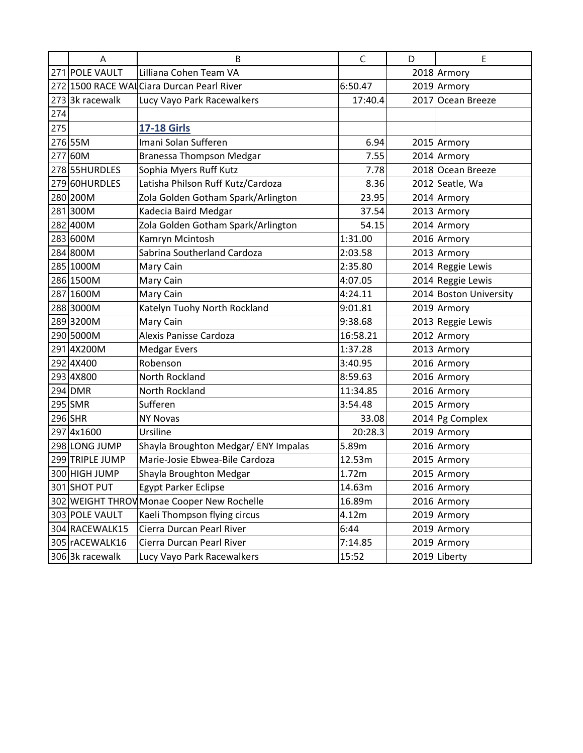|     | A               | B                                          | C        | D | E                      |
|-----|-----------------|--------------------------------------------|----------|---|------------------------|
|     | 271 POLE VAULT  | Lilliana Cohen Team VA                     |          |   | 2018 Armory            |
|     |                 | 272 1500 RACE WAL Ciara Durcan Pearl River | 6:50.47  |   | 2019 Armory            |
|     | 273 3k racewalk | Lucy Vayo Park Racewalkers                 | 17:40.4  |   | 2017 Ocean Breeze      |
| 274 |                 |                                            |          |   |                        |
| 275 |                 | <b>17-18 Girls</b>                         |          |   |                        |
|     | 276 55M         | Imani Solan Sufferen                       | 6.94     |   | 2015 Armory            |
|     | 277 60M         | <b>Branessa Thompson Medgar</b>            | 7.55     |   | 2014 Armory            |
|     | 278 55HURDLES   | Sophia Myers Ruff Kutz                     | 7.78     |   | 2018 Ocean Breeze      |
|     | 279 60HURDLES   | Latisha Philson Ruff Kutz/Cardoza          | 8.36     |   | 2012 Seatle, Wa        |
|     | 280 200M        | Zola Golden Gotham Spark/Arlington         | 23.95    |   | 2014 Armory            |
|     | 281 300M        | Kadecia Baird Medgar                       | 37.54    |   | 2013 Armory            |
|     | 282 400M        | Zola Golden Gotham Spark/Arlington         | 54.15    |   | 2014 Armory            |
|     | 283 600M        | Kamryn Mcintosh                            | 1:31.00  |   | 2016 Armory            |
|     | 284 800M        | Sabrina Southerland Cardoza                | 2:03.58  |   | 2013 Armory            |
|     | 285 1000M       | Mary Cain                                  | 2:35.80  |   | 2014 Reggie Lewis      |
|     | 286 1500M       | Mary Cain                                  | 4:07.05  |   | 2014 Reggie Lewis      |
|     | 287 1600M       | Mary Cain                                  | 4:24.11  |   | 2014 Boston University |
|     | 288 3000M       | Katelyn Tuohy North Rockland               | 9:01.81  |   | 2019 Armory            |
|     | 2893200M        | Mary Cain                                  | 9:38.68  |   | 2013 Reggie Lewis      |
|     | 290 5000M       | Alexis Panisse Cardoza                     | 16:58.21 |   | 2012 Armory            |
|     | 2914X200M       | <b>Medgar Evers</b>                        | 1:37.28  |   | 2013 Armory            |
|     | 292 4X400       | Robenson                                   | 3:40.95  |   | 2016 Armory            |
|     | 293 4X800       | North Rockland                             | 8:59.63  |   | 2016 Armory            |
|     | 294 DMR         | North Rockland                             | 11:34.85 |   | 2016 Armory            |
|     | 295 SMR         | Sufferen                                   | 3:54.48  |   | 2015 Armory            |
|     | 296 SHR         | <b>NY Novas</b>                            | 33.08    |   | 2014 Pg Complex        |
|     | 2974x1600       | Ursiline                                   | 20:28.3  |   | 2019 Armory            |
|     | 298 LONG JUMP   | Shayla Broughton Medgar/ ENY Impalas       | 5.89m    |   | 2016 Armory            |
|     | 299 TRIPLE JUMP | Marie-Josie Ebwea-Bile Cardoza             | 12.53m   |   | 2015 Armory            |
|     | 300 HIGH JUMP   | Shayla Broughton Medgar                    | 1.72m    |   | 2015 Armory            |
|     | 301 SHOT PUT    | <b>Egypt Parker Eclipse</b>                | 14.63m   |   | 2016 Armory            |
|     |                 | 302 WEIGHT THROW Monae Cooper New Rochelle | 16.89m   |   | 2016 Armory            |
|     | 303 POLE VAULT  | Kaeli Thompson flying circus               | 4.12m    |   | 2019 Armory            |
|     | 304 RACEWALK15  | Cierra Durcan Pearl River                  | 6:44     |   | 2019 Armory            |
|     | 305 rACEWALK16  | Cierra Durcan Pearl River                  | 7:14.85  |   | 2019 Armory            |
|     | 306 3k racewalk | Lucy Vayo Park Racewalkers                 | 15:52    |   | 2019 Liberty           |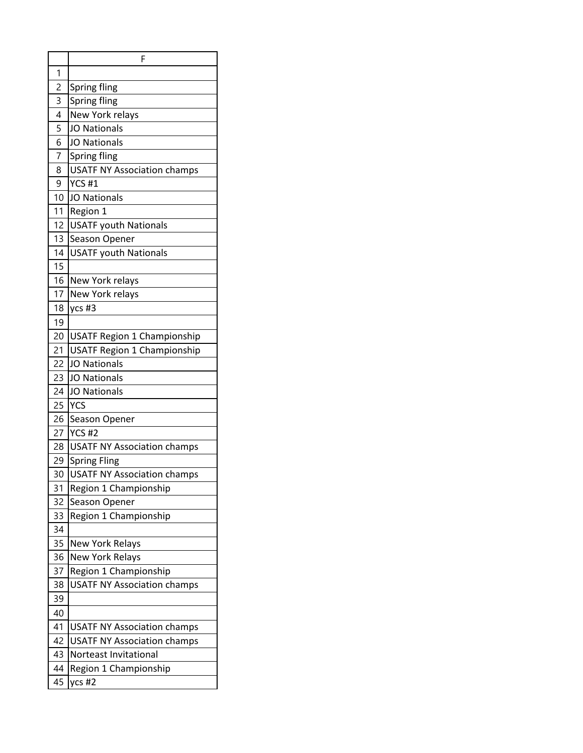|                | F                                  |
|----------------|------------------------------------|
| 1              |                                    |
| $\overline{c}$ | Spring fling                       |
| 3              | Spring fling                       |
| 4              | New York relays                    |
| 5              | <b>JO Nationals</b>                |
| 6              | <b>JO Nationals</b>                |
| $\overline{7}$ | Spring fling                       |
| 8              | <b>USATF NY Association champs</b> |
| 9              | <b>YCS #1</b>                      |
| 10             | <b>JO Nationals</b>                |
| 11             | Region 1                           |
| 12             | <b>USATF youth Nationals</b>       |
| 13             | Season Opener                      |
| 14             | <b>USATF youth Nationals</b>       |
| 15             |                                    |
| 16             | New York relays                    |
| 17             | New York relays                    |
| 18             | ycs #3                             |
| 19             |                                    |
| 20             | <b>USATF Region 1 Championship</b> |
| 21             | <b>USATF Region 1 Championship</b> |
| 22             | <b>JO Nationals</b>                |
| 23             | <b>JO Nationals</b>                |
| 24             | <b>JO Nationals</b>                |
| 25             | <b>YCS</b>                         |
| 26             | Season Opener                      |
| 27             | <b>YCS #2</b>                      |
| 28             | <b>USATF NY Association champs</b> |
| 29             | <b>Spring Fling</b>                |
| 30             | <b>USATF NY Association champs</b> |
| 31             | Region 1 Championship              |
| 32             | Season Opener                      |
| 33             | Region 1 Championship              |
| 34             |                                    |
| 35             | New York Relays                    |
| 36             | <b>New York Relays</b>             |
| 37             | Region 1 Championship              |
| 38             | <b>USATF NY Association champs</b> |
| 39             |                                    |
| 40             |                                    |
| 41             | <b>USATF NY Association champs</b> |
| 42             | <b>USATF NY Association champs</b> |
| 43             | Norteast Invitational              |
| 44             | Region 1 Championship              |
| 45             | ycs #2                             |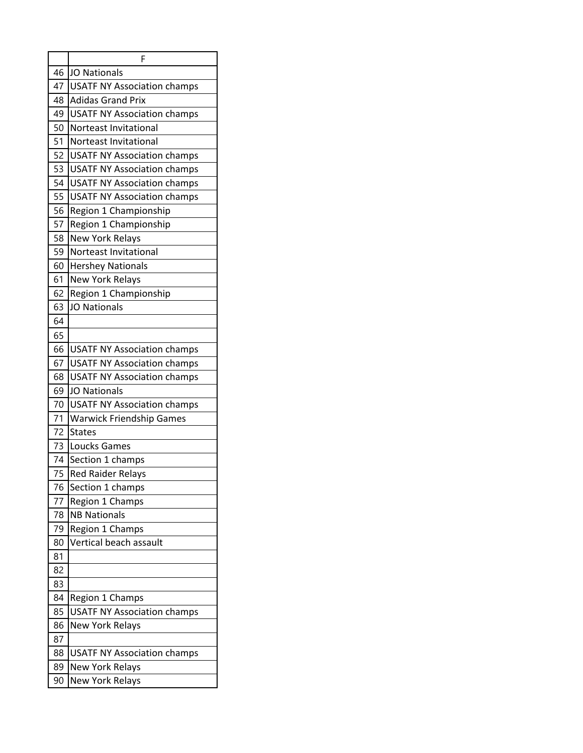|    | F                                  |
|----|------------------------------------|
| 46 | <b>JO Nationals</b>                |
| 47 | <b>USATF NY Association champs</b> |
| 48 | <b>Adidas Grand Prix</b>           |
| 49 | <b>USATF NY Association champs</b> |
| 50 | Norteast Invitational              |
| 51 | Norteast Invitational              |
| 52 | <b>USATF NY Association champs</b> |
| 53 | <b>USATF NY Association champs</b> |
| 54 | <b>USATF NY Association champs</b> |
| 55 | <b>USATF NY Association champs</b> |
| 56 | Region 1 Championship              |
| 57 | Region 1 Championship              |
| 58 | <b>New York Relays</b>             |
| 59 | Norteast Invitational              |
| 60 | <b>Hershey Nationals</b>           |
| 61 | <b>New York Relays</b>             |
| 62 | Region 1 Championship              |
| 63 | <b>JO Nationals</b>                |
| 64 |                                    |
| 65 |                                    |
| 66 | <b>USATF NY Association champs</b> |
| 67 | <b>USATF NY Association champs</b> |
| 68 | <b>USATF NY Association champs</b> |
| 69 | <b>JO Nationals</b>                |
| 70 | <b>USATF NY Association champs</b> |
| 71 | <b>Warwick Friendship Games</b>    |
| 72 | <b>States</b>                      |
| 73 | <b>Loucks Games</b>                |
| 74 | Section 1 champs                   |
| 75 | <b>Red Raider Relays</b>           |
| 76 | Section 1 champs                   |
| 77 | Region 1 Champs                    |
| 78 | <b>NB Nationals</b>                |
| 79 | Region 1 Champs                    |
| 80 | Vertical beach assault             |
| 81 |                                    |
| 82 |                                    |
| 83 |                                    |
| 84 | Region 1 Champs                    |
| 85 | <b>USATF NY Association champs</b> |
| 86 | <b>New York Relays</b>             |
| 87 |                                    |
| 88 | <b>USATF NY Association champs</b> |
| 89 | <b>New York Relays</b>             |
| 90 | <b>New York Relays</b>             |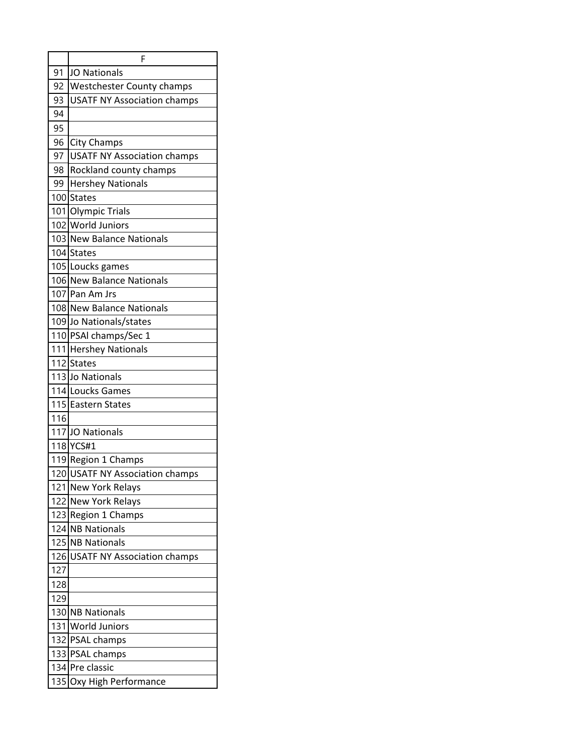|     | F                                  |
|-----|------------------------------------|
| 91  | <b>JO Nationals</b>                |
| 92  | <b>Westchester County champs</b>   |
| 93  | <b>USATF NY Association champs</b> |
| 94  |                                    |
| 95  |                                    |
| 96  | <b>City Champs</b>                 |
| 97  | <b>USATF NY Association champs</b> |
| 98  | Rockland county champs             |
| 99  | <b>Hershey Nationals</b>           |
|     | 100 States                         |
|     | 101 Olympic Trials                 |
|     | 102 World Juniors                  |
|     | 103 New Balance Nationals          |
|     | 104 States                         |
|     | 105 Loucks games                   |
|     | 106 New Balance Nationals          |
|     | 107 Pan Am Jrs                     |
|     | 108 New Balance Nationals          |
|     | 109 Jo Nationals/states            |
|     | 110 PSAI champs/Sec 1              |
|     | 111 Hershey Nationals              |
|     | 112 States                         |
|     | 113 Jo Nationals                   |
|     | 114 Loucks Games                   |
|     | 115 Eastern States                 |
| 116 |                                    |
|     | 117JJO Nationals                   |
|     | 118 YCS#1                          |
|     | 119 Region 1 Champs                |
|     | 120 USATF NY Association champs    |
|     | 121 New York Relays                |
|     | 122 New York Relays                |
|     | 123 Region 1 Champs                |
|     | 124 NB Nationals                   |
|     | 125 NB Nationals                   |
|     | 126 USATF NY Association champs    |
| 127 |                                    |
| 128 |                                    |
| 129 |                                    |
|     | 130 NB Nationals                   |
|     | 131 World Juniors                  |
|     | 132 PSAL champs                    |
|     | 133 PSAL champs                    |
|     | 134 Pre classic                    |
| 135 | Oxy High Performance               |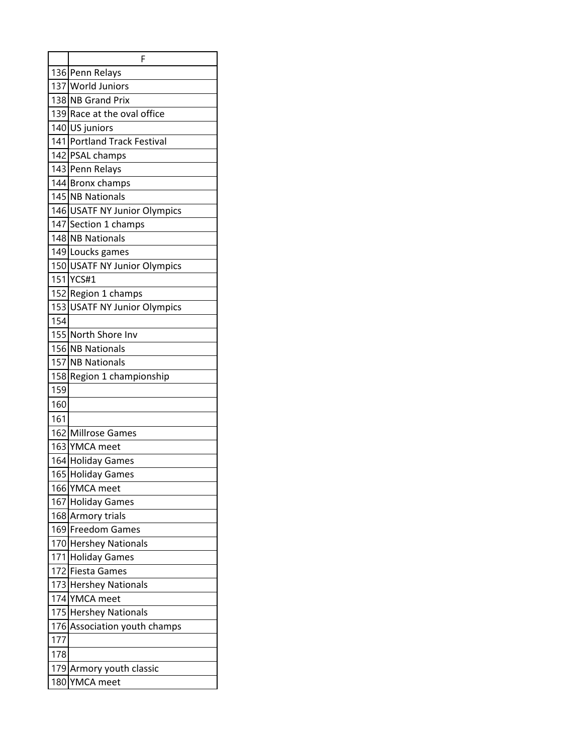|     | F                               |
|-----|---------------------------------|
|     | 136 Penn Relays                 |
|     | 137 World Juniors               |
|     | 138 NB Grand Prix               |
|     | 139 Race at the oval office     |
|     | 140 US juniors                  |
|     | 141 Portland Track Festival     |
|     | 142 PSAL champs                 |
|     | 143 Penn Relays                 |
|     | 144 Bronx champs                |
|     | 145 NB Nationals                |
|     | 146 USATF NY Junior Olympics    |
|     | 147 Section 1 champs            |
|     | 148 NB Nationals                |
|     | 149 Loucks games                |
|     | 150 USATF NY Junior Olympics    |
| 151 | YCS#1                           |
|     | 152 Region 1 champs             |
| 153 | <b>USATF NY Junior Olympics</b> |
| 154 |                                 |
|     | 155 North Shore Inv             |
|     | 156 NB Nationals                |
| 157 | <b>NB Nationals</b>             |
| 158 | Region 1 championship           |
| 159 |                                 |
| 160 |                                 |
| 161 |                                 |
|     | 162 Millrose Games              |
|     | 163 YMCA meet                   |
|     | 164 Holiday Games               |
|     | 165 Holiday Games               |
|     | 166 YMCA meet                   |
| 167 | <b>Holiday Games</b>            |
| 168 | <b>Armory trials</b>            |
|     | 169 Freedom Games               |
|     | 170 Hershey Nationals           |
|     | 171 Holiday Games               |
| 172 | <b>Fiesta Games</b>             |
|     | 173 Hershey Nationals           |
| 174 | <b>YMCA</b> meet                |
| 175 | <b>Hershey Nationals</b>        |
| 176 | Association youth champs        |
| 177 |                                 |
| 178 |                                 |
| 179 | Armory youth classic            |
| 180 | YMCA meet                       |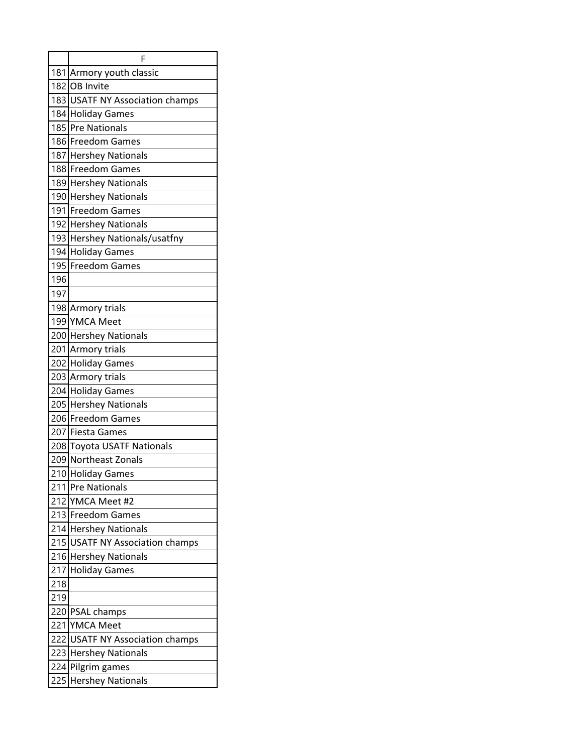|     | F                                  |  |
|-----|------------------------------------|--|
|     | 181 Armory youth classic           |  |
|     | 182 OB Invite                      |  |
|     | 183 USATF NY Association champs    |  |
|     | 184 Holiday Games                  |  |
|     | 185 Pre Nationals                  |  |
|     | 186 Freedom Games                  |  |
|     | 187 Hershey Nationals              |  |
|     | 188 Freedom Games                  |  |
|     | 189 Hershey Nationals              |  |
|     | 190 Hershey Nationals              |  |
|     | 191 Freedom Games                  |  |
|     | 192 Hershey Nationals              |  |
|     | 193 Hershey Nationals/usatfny      |  |
|     | 194 Holiday Games                  |  |
|     | 195 Freedom Games                  |  |
| 196 |                                    |  |
| 197 |                                    |  |
|     | 198 Armory trials                  |  |
|     | 199 YMCA Meet                      |  |
|     | 200 Hershey Nationals              |  |
|     | 201 Armory trials                  |  |
|     | 202 Holiday Games                  |  |
|     | 203 Armory trials                  |  |
|     | 204 Holiday Games                  |  |
|     | 205 Hershey Nationals              |  |
|     | 206 Freedom Games                  |  |
|     | 207 Fiesta Games                   |  |
|     | 208 Toyota USATF Nationals         |  |
|     | 209 Northeast Zonals               |  |
|     | 210 Holiday Games                  |  |
| 211 | <b>Pre Nationals</b>               |  |
|     | 212 YMCA Meet #2                   |  |
|     | 213 Freedom Games                  |  |
|     | 214 Hershey Nationals              |  |
|     | 215 USATF NY Association champs    |  |
|     | 216 Hershey Nationals              |  |
| 217 | <b>Holiday Games</b>               |  |
| 218 |                                    |  |
| 219 |                                    |  |
|     | 220 PSAL champs                    |  |
|     | 221 YMCA Meet                      |  |
| 222 | <b>USATF NY Association champs</b> |  |
|     | 223 Hershey Nationals              |  |
|     | 224 Pilgrim games                  |  |
| 225 | <b>Hershey Nationals</b>           |  |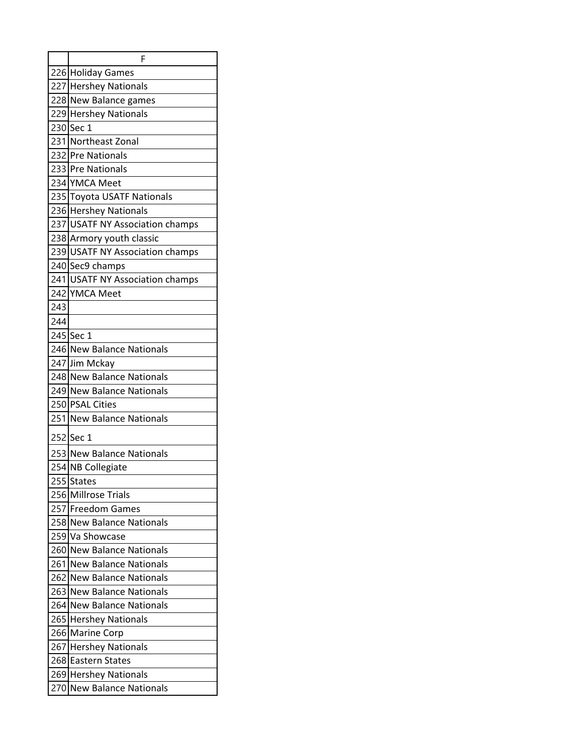|     | F                               |  |
|-----|---------------------------------|--|
|     | 226 Holiday Games               |  |
|     | 227 Hershey Nationals           |  |
|     | 228 New Balance games           |  |
|     | 229 Hershey Nationals           |  |
|     | 230 Sec 1                       |  |
|     | 231 Northeast Zonal             |  |
|     | 232 Pre Nationals               |  |
|     | 233 Pre Nationals               |  |
|     | 234 YMCA Meet                   |  |
|     | 235 Toyota USATF Nationals      |  |
|     | 236 Hershey Nationals           |  |
|     | 237 USATF NY Association champs |  |
|     | 238 Armory youth classic        |  |
|     | 239 USATF NY Association champs |  |
|     | 240 Sec9 champs                 |  |
|     | 241 USATF NY Association champs |  |
|     | 242 YMCA Meet                   |  |
| 243 |                                 |  |
| 244 |                                 |  |
|     | 245 Sec 1                       |  |
|     | 246 New Balance Nationals       |  |
|     | 247 Jim Mckay                   |  |
|     | 248 New Balance Nationals       |  |
|     | 249 New Balance Nationals       |  |
|     | 250 PSAL Cities                 |  |
|     | 251 New Balance Nationals       |  |
|     | 252 Sec 1                       |  |
|     | 253 New Balance Nationals       |  |
|     | 254 NB Collegiate               |  |
| 255 | States                          |  |
|     | 256 Millrose Trials             |  |
|     | 257 Freedom Games               |  |
|     | 258 New Balance Nationals       |  |
| 259 | Va Showcase                     |  |
|     | 260 New Balance Nationals       |  |
| 261 | <b>New Balance Nationals</b>    |  |
| 262 | <b>New Balance Nationals</b>    |  |
|     | 263 New Balance Nationals       |  |
| 264 | <b>New Balance Nationals</b>    |  |
|     | 265 Hershey Nationals           |  |
| 266 | <b>Marine Corp</b>              |  |
|     | 267 Hershey Nationals           |  |
|     | 268 Eastern States              |  |
| 269 | <b>Hershey Nationals</b>        |  |
| 270 | <b>New Balance Nationals</b>    |  |